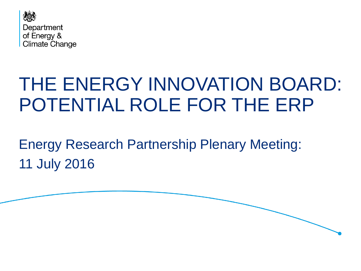

# THE ENERGY INNOVATION BOARD: POTENTIAL ROLE FOR THE ERP

Energy Research Partnership Plenary Meeting: 11 July 2016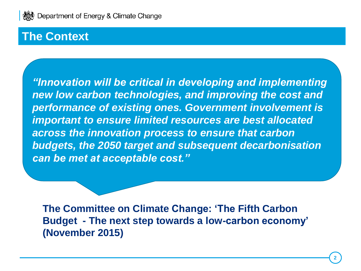

#### **The Context**

*"Innovation will be critical in developing and implementing new low carbon technologies, and improving the cost and performance of existing ones. Government involvement is important to ensure limited resources are best allocated across the innovation process to ensure that carbon budgets, the 2050 target and subsequent decarbonisation can be met at acceptable cost."*

**The Committee on Climate Change: 'The Fifth Carbon Budget - The next step towards a low-carbon economy' (November 2015)**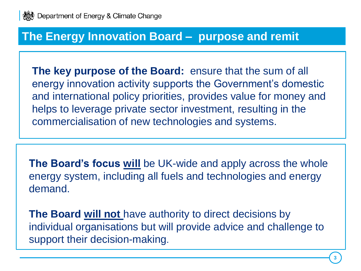

#### **The Energy Innovation Board – purpose and remit**

**The key purpose of the Board:** ensure that the sum of all energy innovation activity supports the Government's domestic and international policy priorities, provides value for money and helps to leverage private sector investment, resulting in the commercialisation of new technologies and systems.

**The Board's focus will** be UK-wide and apply across the whole energy system, including all fuels and technologies and energy demand.

**The Board will not** have authority to direct decisions by individual organisations but will provide advice and challenge to support their decision-making.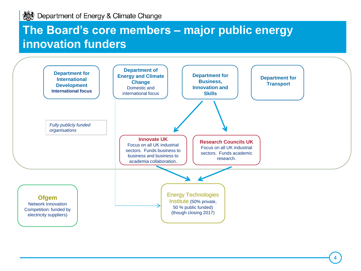### **The Board's core members – major public energy innovation funders**

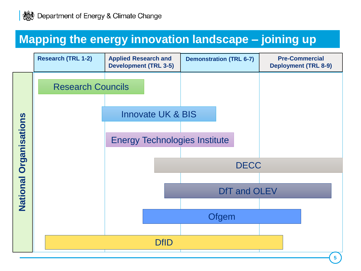# **Mapping the energy innovation landscape – joining up**

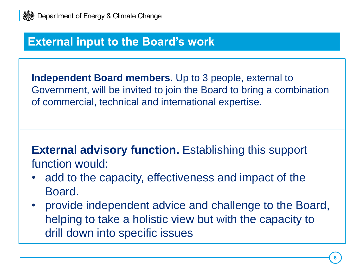

#### **External input to the Board's work**

**Independent Board members.** Up to 3 people, external to Government, will be invited to join the Board to bring a combination of commercial, technical and international expertise.

**External advisory function.** Establishing this support function would:

- add to the capacity, effectiveness and impact of the Board.
- provide independent advice and challenge to the Board, helping to take a holistic view but with the capacity to drill down into specific issues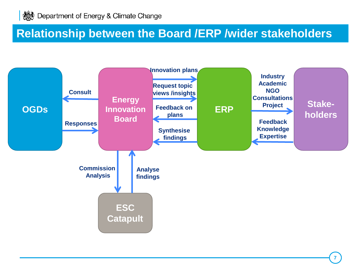#### **Relationship between the Board /ERP /wider stakeholders**

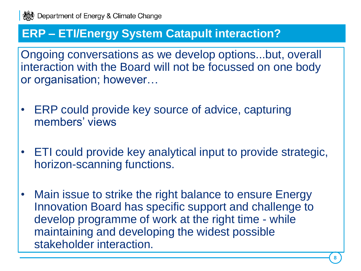#### **ERP – ETI/Energy System Catapult interaction?**

Ongoing conversations as we develop options...but, overall interaction with the Board will not be focussed on one body or organisation; however…

- ERP could provide key source of advice, capturing members' views
- ETI could provide key analytical input to provide strategic, horizon-scanning functions.
- Main issue to strike the right balance to ensure Energy Innovation Board has specific support and challenge to develop programme of work at the right time - while maintaining and developing the widest possible stakeholder interaction.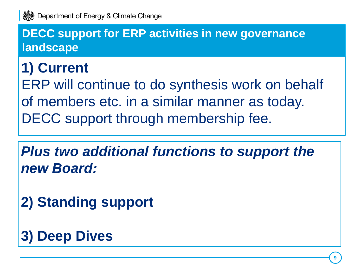

#### **DECC support for ERP activities in new governance landscape**

# **1) Current**

ERP will continue to do synthesis work on behalf of members etc. in a similar manner as today. DECC support through membership fee.

*Plus two additional functions to support the new Board:* 

**2) Standing support** 

# **3) Deep Dives**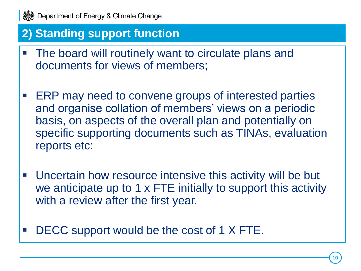

# **2) Standing support function**

- The board will routinely want to circulate plans and documents for views of members;
- **ERP may need to convene groups of interested parties** and organise collation of members' views on a periodic basis, on aspects of the overall plan and potentially on specific supporting documents such as TINAs, evaluation reports etc:
- Uncertain how resource intensive this activity will be but we anticipate up to 1 x FTE initially to support this activity with a review after the first year.
- DECC support would be the cost of 1 X FTE.